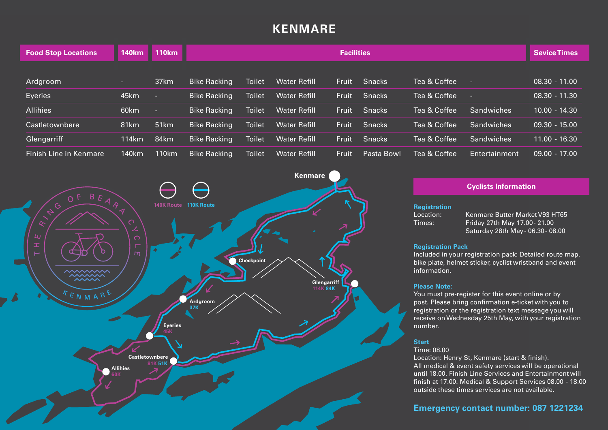# **KENMARE**

| <b>Food Stop Locations</b> | <b>140km</b> | <b>110km</b>     | <b>Facilities</b>   |               |                     |              |               |              |                   | <b>Sevice Times</b> |
|----------------------------|--------------|------------------|---------------------|---------------|---------------------|--------------|---------------|--------------|-------------------|---------------------|
|                            |              |                  |                     |               |                     |              |               |              |                   |                     |
| Ardgroom                   | and the      | 37km             | <b>Bike Racking</b> | <b>Toilet</b> | <b>Water Refill</b> | <b>Fruit</b> | <b>Snacks</b> | Tea & Coffee | ×                 | $08.30 - 11.00$     |
| Eyeries                    | 45km         | п.               | <b>Bike Racking</b> | <b>Toilet</b> | <b>Water Refill</b> | Fruit        | <b>Snacks</b> | Tea & Coffee | ×                 | $08.30 - 11.30$     |
| <b>Allihies</b>            | 60km         |                  | <b>Bike Racking</b> | <b>Toilet</b> | <b>Water Refill</b> | <b>Fruit</b> | <b>Snacks</b> | Tea & Coffee | <b>Sandwiches</b> | $10.00 - 14.30$     |
| Castletownbere             | 81km         | 51 <sub>km</sub> | <b>Bike Racking</b> | <b>Toilet</b> | <b>Water Refill</b> | Fruit        | <b>Snacks</b> | Tea & Coffee | <b>Sandwiches</b> | $09.30 - 15.00$     |
| Glengarriff                | 114km        | 84km             | <b>Bike Racking</b> | <b>Toilet</b> | <b>Water Refill</b> | Fruit        | <b>Snacks</b> | Tea & Coffee | <b>Sandwiches</b> | $11.00 - 16.30$     |
| Finish Line in Kenmare     | 140km        | 110km            | <b>Bike Racking</b> | <b>Toilet</b> | <b>Water Refill</b> | Fruit        | Pasta Bowl    | Tea & Coffee | Entertainment     | $09.00 - 17.00$     |



### **Cyclists Information**

#### **Registration**

Location: Kenmare Butter Market V93 HT65 Times: Friday 27th May 17.00 - 21.00 Saturday 28th May - 06.30 - 08.00

#### **Registration Pack**

Included in your registration pack: Detailed route map, bike plate, helmet sticker, cyclist wristband and event information.

#### **Please Note:**

You must pre-register for this event online or by post. Please bring confirmation e-ticket with you to registration or the registration text message you will receive on Wednesday 25th May, with your registration number.

### **Start**

#### Time: 08.00

Location: Henry St, Kenmare (start & finish). All medical & event safety services will be operational until 18.00. Finish Line Services and Entertainment will finish at 17.00. Medical & Support Services 08.00 - 18.00 outside these times services are not available.

# **Emergency contact number: 087 1221234**